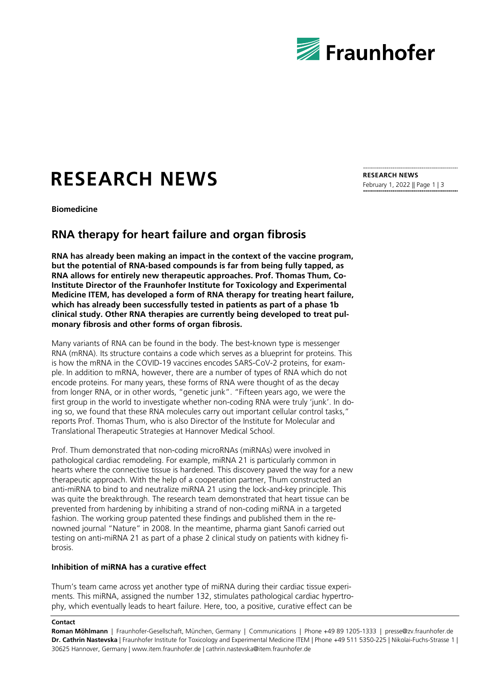

# **RESEARCH NEWS**

**Biomedicine**

## **RNA therapy for heart failure and organ fibrosis**

**RNA has already been making an impact in the context of the vaccine program, but the potential of RNA-based compounds is far from being fully tapped, as RNA allows for entirely new therapeutic approaches. Prof. Thomas Thum, Co-Institute Director of the Fraunhofer Institute for Toxicology and Experimental Medicine ITEM, has developed a form of RNA therapy for treating heart failure, which has already been successfully tested in patients as part of a phase 1b clinical study. Other RNA therapies are currently being developed to treat pulmonary fibrosis and other forms of organ fibrosis.** 

Many variants of RNA can be found in the body. The best-known type is messenger RNA (mRNA). Its structure contains a code which serves as a blueprint for proteins. This is how the mRNA in the COVID-19 vaccines encodes SARS-CoV-2 proteins, for example. In addition to mRNA, however, there are a number of types of RNA which do not encode proteins. For many years, these forms of RNA were thought of as the decay from longer RNA, or in other words, "genetic junk". "Fifteen years ago, we were the first group in the world to investigate whether non-coding RNA were truly 'junk'. In doing so, we found that these RNA molecules carry out important cellular control tasks," reports Prof. Thomas Thum, who is also Director of the Institute for Molecular and Translational Therapeutic Strategies at Hannover Medical School.

Prof. Thum demonstrated that non-coding microRNAs (miRNAs) were involved in pathological cardiac remodeling. For example, miRNA 21 is particularly common in hearts where the connective tissue is hardened. This discovery paved the way for a new therapeutic approach. With the help of a cooperation partner, Thum constructed an anti-miRNA to bind to and neutralize miRNA 21 using the lock-and-key principle. This was quite the breakthrough. The research team demonstrated that heart tissue can be prevented from hardening by inhibiting a strand of non-coding miRNA in a targeted fashion. The working group patented these findings and published them in the renowned journal "Nature" in 2008. In the meantime, pharma giant Sanofi carried out testing on anti-miRNA 21 as part of a phase 2 clinical study on patients with kidney fibrosis.

### **Inhibition of miRNA has a curative effect**

Thum's team came across yet another type of miRNA during their cardiac tissue experiments. This miRNA, assigned the number 132, stimulates pathological cardiac hypertrophy, which eventually leads to heart failure. Here, too, a positive, curative effect can be

#### **Contact**

**Roman Möhlmann** | Fraunhofer-Gesellschaft, München, Germany | Communications | Phone +49 89 1205-1333 | presse@zv.fraunhofer.de **Dr. Cathrin Nastevska** | Fraunhofer Institute for Toxicology and Experimental Medicine ITEM | Phone +49 511 5350-225 | Nikolai-Fuchs-Strasse 1 | 30625 Hannover, Germany | www.item.fraunhofer.de | cathrin.nastevska@item.fraunhofer.de

**RESEARCH NEWS** February 1, 2022 || Page 1 | 3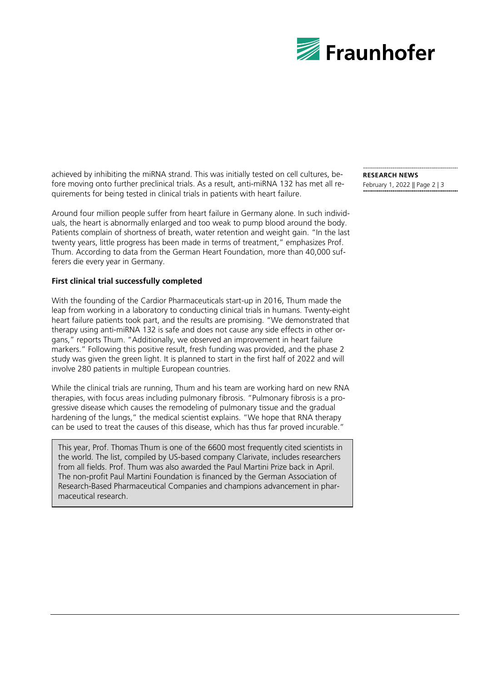

achieved by inhibiting the miRNA strand. This was initially tested on cell cultures, before moving onto further preclinical trials. As a result, anti-miRNA 132 has met all requirements for being tested in clinical trials in patients with heart failure.

Around four million people suffer from heart failure in Germany alone. In such individuals, the heart is abnormally enlarged and too weak to pump blood around the body. Patients complain of shortness of breath, water retention and weight gain. "In the last twenty years, little progress has been made in terms of treatment," emphasizes Prof. Thum. According to data from the German Heart Foundation, more than 40,000 sufferers die every year in Germany.

### **First clinical trial successfully completed**

With the founding of the Cardior Pharmaceuticals start-up in 2016, Thum made the leap from working in a laboratory to conducting clinical trials in humans. Twenty-eight heart failure patients took part, and the results are promising. "We demonstrated that therapy using anti-miRNA 132 is safe and does not cause any side effects in other organs," reports Thum. "Additionally, we observed an improvement in heart failure markers." Following this positive result, fresh funding was provided, and the phase 2 study was given the green light. It is planned to start in the first half of 2022 and will involve 280 patients in multiple European countries.

While the clinical trials are running, Thum and his team are working hard on new RNA therapies, with focus areas including pulmonary fibrosis. "Pulmonary fibrosis is a progressive disease which causes the remodeling of pulmonary tissue and the gradual hardening of the lungs," the medical scientist explains. "We hope that RNA therapy can be used to treat the causes of this disease, which has thus far proved incurable."

This year, Prof. Thomas Thum is one of the 6600 most frequently cited scientists in the world. The list, compiled by US-based company Clarivate, includes researchers from all fields. Prof. Thum was also awarded the Paul Martini Prize back in April. The non-profit Paul Martini Foundation is financed by the German Association of Research-Based Pharmaceutical Companies and champions advancement in pharmaceutical research.

**RESEARCH NEWS** February 1, 2022 || Page 2 | 3